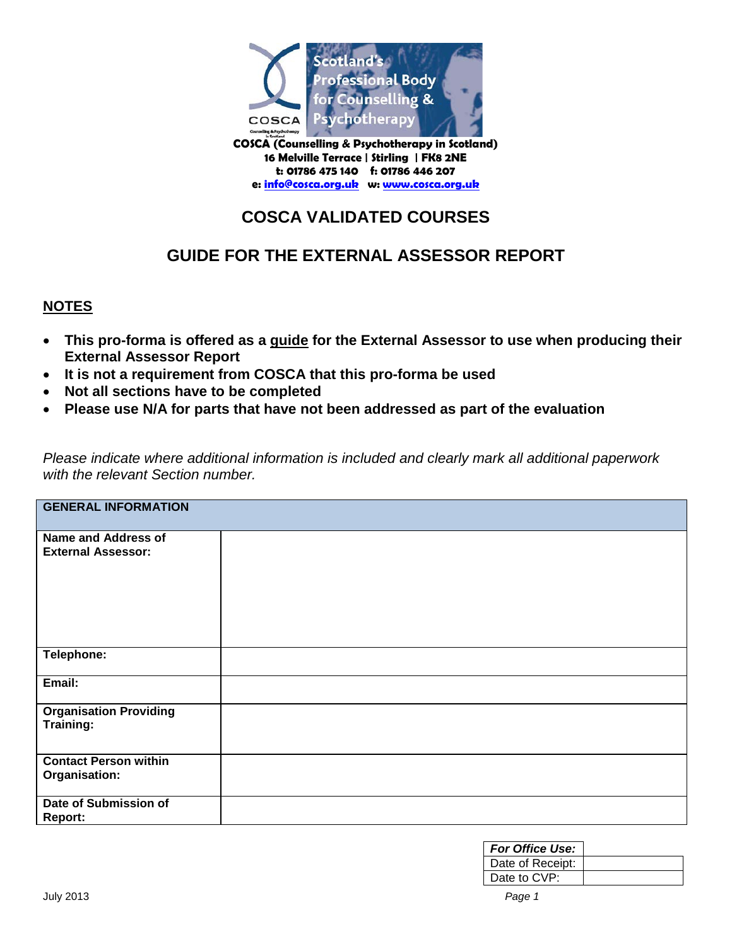

**16 Melville Terrace | Stirling | FK8 2NE t: 01786 475 140 f: 01786 446 207 e: [info@cosca.org.uk](mailto:info@cosca.org.uk) w: [www.cosca.org.uk](http://www.cosca.org.uk/)**

# **COSCA VALIDATED COURSES**

## **GUIDE FOR THE EXTERNAL ASSESSOR REPORT**

### **NOTES**

- **This pro-forma is offered as a guide for the External Assessor to use when producing their External Assessor Report**
- **It is not a requirement from COSCA that this pro-forma be used**
- **Not all sections have to be completed**
- **Please use N/A for parts that have not been addressed as part of the evaluation**

*Please indicate where additional information is included and clearly mark all additional paperwork with the relevant Section number.* 

| <b>GENERAL INFORMATION</b>                              |  |  |  |
|---------------------------------------------------------|--|--|--|
| <b>Name and Address of</b><br><b>External Assessor:</b> |  |  |  |
| Telephone:                                              |  |  |  |
| Email:                                                  |  |  |  |
| <b>Organisation Providing</b><br>Training:              |  |  |  |
| <b>Contact Person within</b><br>Organisation:           |  |  |  |
| Date of Submission of<br>Report:                        |  |  |  |

| <b>For Office Use:</b> |  |
|------------------------|--|
| Date of Receipt:       |  |
| Date to CVP:           |  |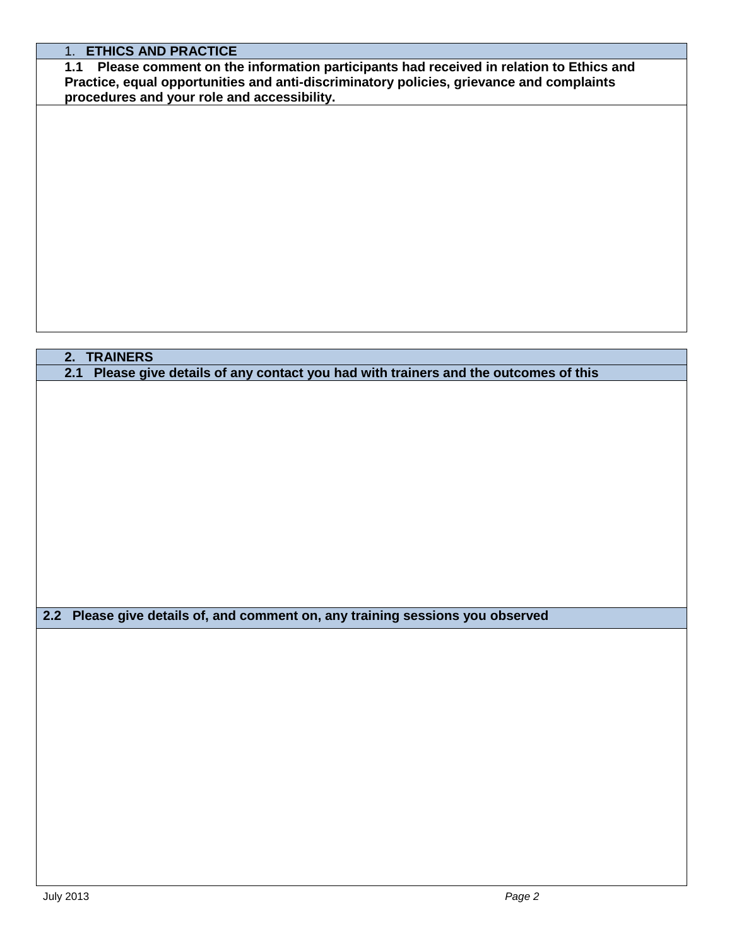### 1. **ETHICS AND PRACTICE**

**1.1 Please comment on the information participants had received in relation to Ethics and Practice, equal opportunities and anti-discriminatory policies, grievance and complaints procedures and your role and accessibility.**

# **2. TRAINERS 2.1 Please give details of any contact you had with trainers and the outcomes of this 2.2 Please give details of, and comment on, any training sessions you observed**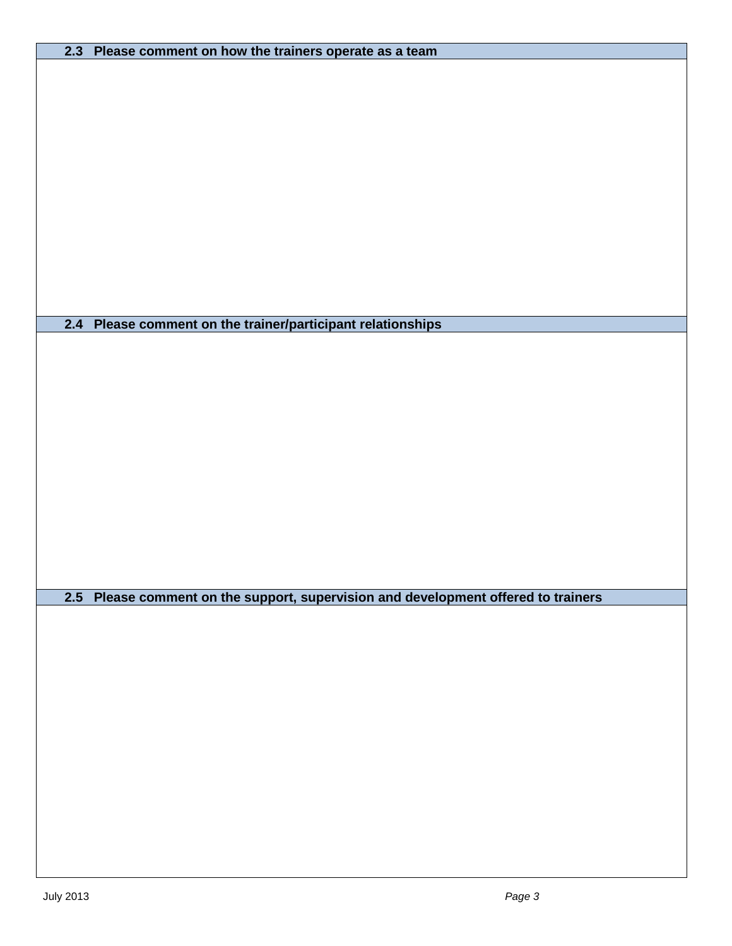| 2.3 Please comment on how the trainers operate as a team                           |
|------------------------------------------------------------------------------------|
|                                                                                    |
|                                                                                    |
|                                                                                    |
|                                                                                    |
|                                                                                    |
|                                                                                    |
|                                                                                    |
|                                                                                    |
|                                                                                    |
|                                                                                    |
|                                                                                    |
|                                                                                    |
|                                                                                    |
|                                                                                    |
|                                                                                    |
|                                                                                    |
|                                                                                    |
|                                                                                    |
|                                                                                    |
| 2.4 Please comment on the trainer/participant relationships                        |
|                                                                                    |
|                                                                                    |
|                                                                                    |
|                                                                                    |
|                                                                                    |
|                                                                                    |
|                                                                                    |
|                                                                                    |
|                                                                                    |
|                                                                                    |
|                                                                                    |
|                                                                                    |
|                                                                                    |
|                                                                                    |
|                                                                                    |
|                                                                                    |
|                                                                                    |
|                                                                                    |
|                                                                                    |
|                                                                                    |
| 2.5 Please comment on the support, supervision and development offered to trainers |
|                                                                                    |
|                                                                                    |
|                                                                                    |
|                                                                                    |
|                                                                                    |
|                                                                                    |
|                                                                                    |
|                                                                                    |
|                                                                                    |
|                                                                                    |
|                                                                                    |
|                                                                                    |
|                                                                                    |
|                                                                                    |
|                                                                                    |
|                                                                                    |
|                                                                                    |
|                                                                                    |
|                                                                                    |
|                                                                                    |
|                                                                                    |
|                                                                                    |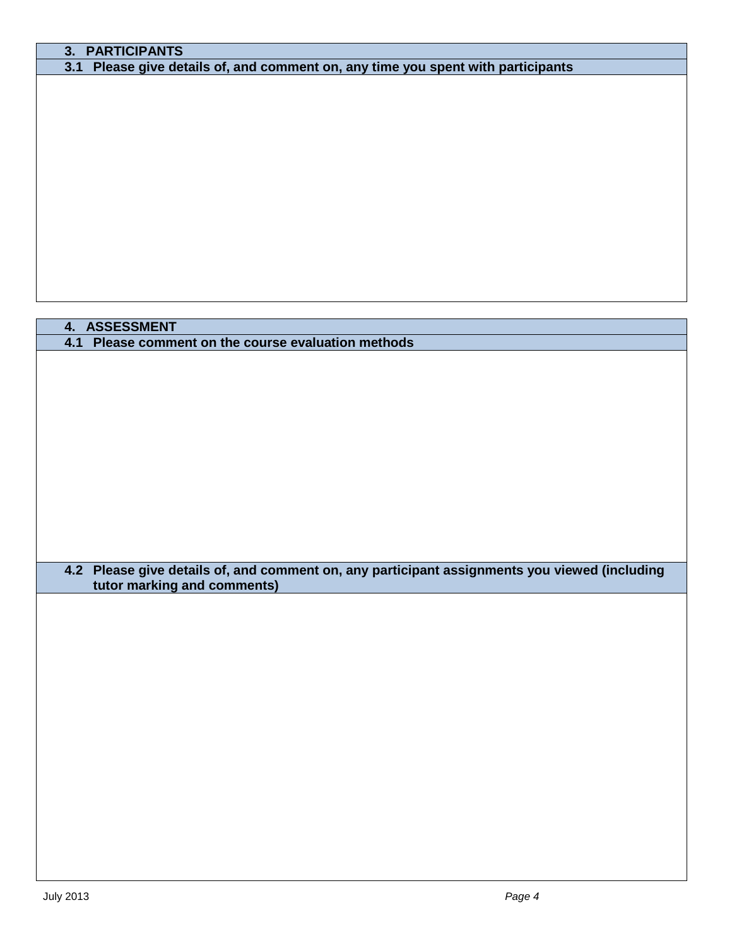### **3. PARTICIPANTS**

**3.1 Please give details of, and comment on, any time you spent with participants** 

### **4. ASSESSMENT**

**4.1 Please comment on the course evaluation methods**

### **4.2 Please give details of, and comment on, any participant assignments you viewed (including tutor marking and comments)**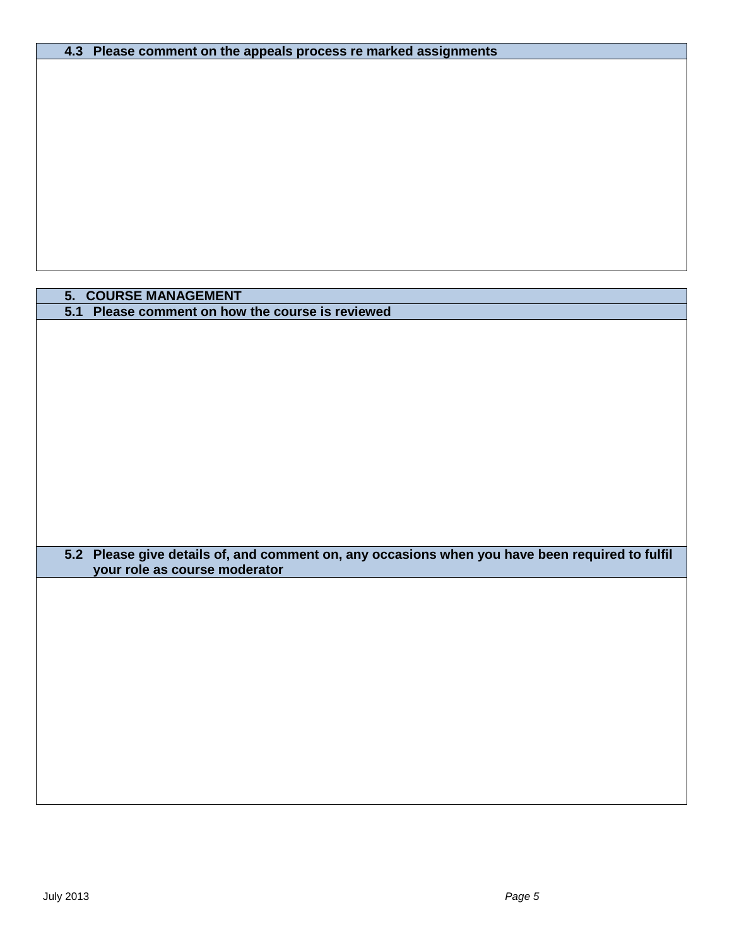| 4.3 Please comment on the appeals process re marked assignments |  |
|-----------------------------------------------------------------|--|
|-----------------------------------------------------------------|--|

### **5. COURSE MANAGEMENT 5.1 Please comment on how the course is reviewed**

**5.2 Please give details of, and comment on, any occasions when you have been required to fulfil your role as course moderator**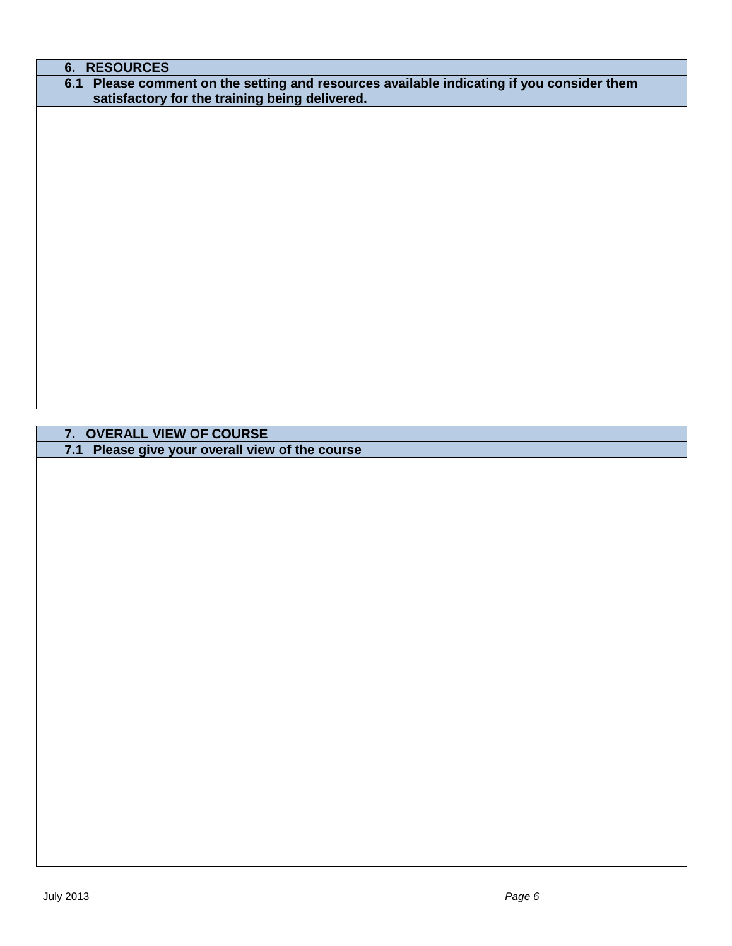# **6. RESOURCES 6.1 Please comment on the setting and resources available indicating if you consider them satisfactory for the training being delivered.**

**7. OVERALL VIEW OF COURSE**

**7.1 Please give your overall view of the course**